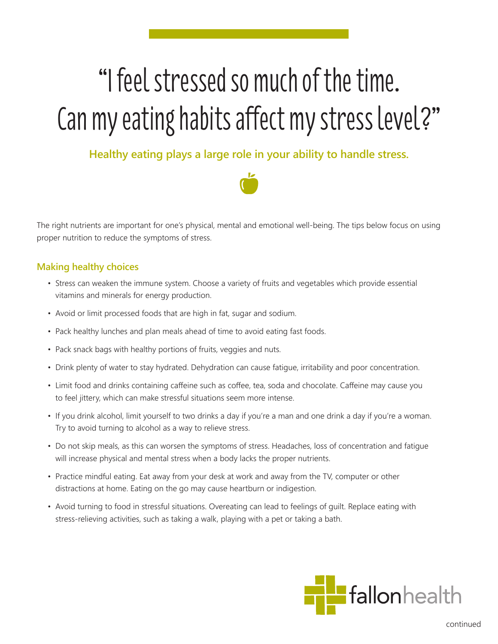## "I feel stressed so much of the time. Can my eating habits affect my stress level?"

**Healthy eating plays a large role in your ability to handle stress.**



The right nutrients are important for one's physical, mental and emotional well-being. The tips below focus on using proper nutrition to reduce the symptoms of stress.

## **Making healthy choices**

- Stress can weaken the immune system. Choose a variety of fruits and vegetables which provide essential vitamins and minerals for energy production.
- Avoid or limit processed foods that are high in fat, sugar and sodium.
- Pack healthy lunches and plan meals ahead of time to avoid eating fast foods.
- Pack snack bags with healthy portions of fruits, veggies and nuts.
- Drink plenty of water to stay hydrated. Dehydration can cause fatigue, irritability and poor concentration.
- Limit food and drinks containing caffeine such as coffee, tea, soda and chocolate. Caffeine may cause you to feel jittery, which can make stressful situations seem more intense.
- If you drink alcohol, limit yourself to two drinks a day if you're a man and one drink a day if you're a woman. Try to avoid turning to alcohol as a way to relieve stress.
- Do not skip meals, as this can worsen the symptoms of stress. Headaches, loss of concentration and fatigue will increase physical and mental stress when a body lacks the proper nutrients.
- Practice mindful eating. Eat away from your desk at work and away from the TV, computer or other distractions at home. Eating on the go may cause heartburn or indigestion.
- Avoid turning to food in stressful situations. Overeating can lead to feelings of guilt. Replace eating with stress-relieving activities, such as taking a walk, playing with a pet or taking a bath.